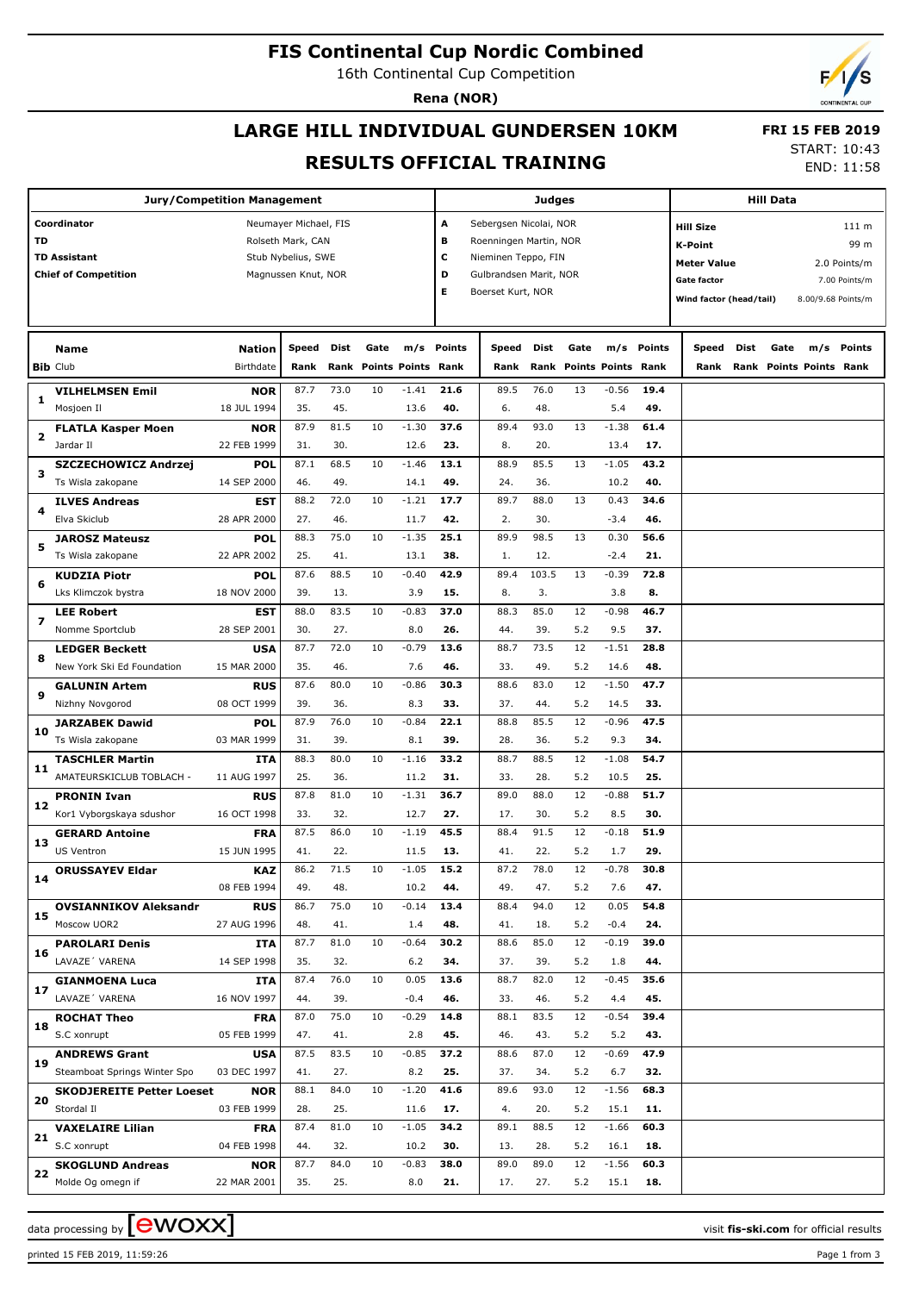# **FIS Continental Cup Nordic Combined**

16th Continental Cup Competition

**Rena (NOR)**

# **LARGE HILL INDIVIDUAL GUNDERSEN 10KM RESULTS OFFICIAL TRAINING**

 **FRI 15 FEB 2019** START: 10:43

END: 11:58

| Jury/Competition Management          |                                  |               |                     |      |      |                         |               | Judges                 |       |      |                                |            |                         | <b>Hill Data</b> |      |                              |               |  |
|--------------------------------------|----------------------------------|---------------|---------------------|------|------|-------------------------|---------------|------------------------|-------|------|--------------------------------|------------|-------------------------|------------------|------|------------------------------|---------------|--|
| Coordinator<br>Neumayer Michael, FIS |                                  |               |                     |      |      |                         |               | Sebergsen Nicolai, NOR |       |      |                                |            | <b>Hill Size</b>        |                  |      |                              | 111 m         |  |
| TD                                   |                                  |               | Rolseth Mark, CAN   |      |      |                         | в             | Roenningen Martin, NOR |       |      |                                |            | <b>K-Point</b>          |                  |      |                              | 99 m          |  |
|                                      | <b>TD Assistant</b>              |               | Stub Nybelius, SWE  |      |      |                         | c             | Nieminen Teppo, FIN    |       |      |                                |            |                         |                  |      |                              |               |  |
|                                      | <b>Chief of Competition</b>      |               | Magnussen Knut, NOR |      |      |                         | D             | Gulbrandsen Marit, NOR |       |      |                                |            | <b>Meter Value</b>      |                  |      |                              | 2.0 Points/m  |  |
|                                      |                                  |               |                     |      |      |                         | Е             | Boerset Kurt, NOR      |       |      |                                |            | <b>Gate factor</b>      |                  |      |                              | 7.00 Points/m |  |
|                                      |                                  |               |                     |      |      |                         |               |                        |       |      |                                |            | Wind factor (head/tail) |                  |      | 8.00/9.68 Points/m           |               |  |
|                                      |                                  |               |                     |      |      |                         |               |                        |       |      |                                |            |                         |                  |      |                              |               |  |
|                                      | <b>Name</b>                      | <b>Nation</b> | Speed               | Dist | Gate | m/s                     | <b>Points</b> | Speed                  | Dist  | Gate |                                | m/s Points | Speed                   | Dist             | Gate |                              | m/s Points    |  |
|                                      | <b>Bib Club</b>                  | Birthdate     | Rank                |      |      | Rank Points Points Rank |               | Rank                   |       |      | <b>Rank Points Points Rank</b> |            |                         |                  |      | Rank Rank Points Points Rank |               |  |
|                                      | <b>VILHELMSEN Emil</b>           | <b>NOR</b>    | 87.7                | 73.0 | 10   | $-1.41$                 | 21.6          | 89.5                   | 76.0  | 13   | $-0.56$                        | 19.4       |                         |                  |      |                              |               |  |
| 1                                    | Mosjoen Il                       | 18 JUL 1994   | 35.                 | 45.  |      | 13.6                    | 40.           | 6.                     | 48.   |      | 5.4                            | 49.        |                         |                  |      |                              |               |  |
|                                      | <b>FLATLA Kasper Moen</b>        | <b>NOR</b>    | 87.9                | 81.5 | 10   | $-1.30$                 | 37.6          | 89.4                   | 93.0  | 13   | $-1.38$                        | 61.4       |                         |                  |      |                              |               |  |
| 2                                    | Jardar II                        | 22 FEB 1999   | 31.                 | 30.  |      | 12.6                    | 23.           | 8.                     | 20.   |      | 13.4                           | 17.        |                         |                  |      |                              |               |  |
|                                      | SZCZECHOWICZ Andrzej             | POL           | 87.1                | 68.5 | 10   | $-1.46$                 | 13.1          | 88.9                   | 85.5  | 13   | $-1.05$                        | 43.2       |                         |                  |      |                              |               |  |
| з                                    | Ts Wisla zakopane                | 14 SEP 2000   | 46.                 | 49.  |      | 14.1                    | 49.           | 24.                    | 36.   |      | 10.2                           | 40.        |                         |                  |      |                              |               |  |
|                                      | <b>ILVES Andreas</b>             | <b>EST</b>    | 88.2                | 72.0 | 10   | $-1.21$                 | 17.7          | 89.7                   | 88.0  | 13   | 0.43                           | 34.6       |                         |                  |      |                              |               |  |
| 4                                    | Elva Skiclub                     | 28 APR 2000   | 27.                 | 46.  |      | 11.7                    | 42.           | 2.                     | 30.   |      | $-3.4$                         | 46.        |                         |                  |      |                              |               |  |
|                                      | <b>JAROSZ Mateusz</b>            | POL           | 88.3                | 75.0 | 10   | $-1.35$                 | 25.1          | 89.9                   | 98.5  | 13   | 0.30                           | 56.6       |                         |                  |      |                              |               |  |
| 5                                    | Ts Wisla zakopane                | 22 APR 2002   | 25.                 | 41.  |      | 13.1                    | 38.           | 1.                     | 12.   |      | $-2.4$                         | 21.        |                         |                  |      |                              |               |  |
|                                      | <b>KUDZIA Piotr</b>              | POL           | 87.6                | 88.5 | 10   | $-0.40$                 | 42.9          | 89.4                   | 103.5 | 13   | $-0.39$                        | 72.8       |                         |                  |      |                              |               |  |
| 6                                    | Lks Klimczok bystra              | 18 NOV 2000   | 39.                 | 13.  |      | 3.9                     | 15.           | 8.                     | 3.    |      | 3.8                            | 8.         |                         |                  |      |                              |               |  |
|                                      | <b>LEE Robert</b>                | <b>EST</b>    | 88.0                | 83.5 | 10   | $-0.83$                 | 37.0          | 88.3                   | 85.0  | 12   | $-0.98$                        | 46.7       |                         |                  |      |                              |               |  |
| $\overline{\phantom{a}}$             | Nomme Sportclub                  | 28 SEP 2001   | 30.                 | 27.  |      | 8.0                     | 26.           | 44.                    | 39.   | 5.2  | 9.5                            | 37.        |                         |                  |      |                              |               |  |
|                                      | <b>LEDGER Beckett</b>            | <b>USA</b>    | 87.7                | 72.0 | 10   | $-0.79$                 | 13.6          | 88.7                   | 73.5  | 12   | $-1.51$                        | 28.8       |                         |                  |      |                              |               |  |
| 8                                    | New York Ski Ed Foundation       | 15 MAR 2000   | 35.                 | 46.  |      | 7.6                     | 46.           | 33.                    | 49.   | 5.2  | 14.6                           | 48.        |                         |                  |      |                              |               |  |
|                                      | <b>GALUNIN Artem</b>             | <b>RUS</b>    | 87.6                | 80.0 | 10   | $-0.86$                 | 30.3          | 88.6                   | 83.0  | 12   | $-1.50$                        | 47.7       |                         |                  |      |                              |               |  |
| 9                                    | Nizhny Novgorod                  | 08 OCT 1999   | 39.                 | 36.  |      | 8.3                     | 33.           | 37.                    | 44.   | 5.2  | 14.5                           | 33.        |                         |                  |      |                              |               |  |
|                                      | <b>JARZABEK Dawid</b>            | POL           | 87.9                | 76.0 | 10   | $-0.84$                 | 22.1          | 88.8                   | 85.5  | 12   | $-0.96$                        | 47.5       |                         |                  |      |                              |               |  |
| 10                                   | Ts Wisla zakopane                | 03 MAR 1999   | 31.                 | 39.  |      | 8.1                     | 39.           | 28.                    | 36.   | 5.2  | 9.3                            | 34.        |                         |                  |      |                              |               |  |
|                                      | <b>TASCHLER Martin</b>           | <b>ITA</b>    | 88.3                | 80.0 | 10   | $-1.16$                 | 33.2          | 88.7                   | 88.5  | 12   | $-1.08$                        | 54.7       |                         |                  |      |                              |               |  |
| 11                                   | AMATEURSKICLUB TOBLACH -         | 11 AUG 1997   | 25.                 | 36.  |      | 11.2                    | 31.           | 33.                    | 28.   | 5.2  | 10.5                           | 25.        |                         |                  |      |                              |               |  |
|                                      | <b>PRONIN Ivan</b>               | <b>RUS</b>    | 87.8                | 81.0 | 10   | $-1.31$                 | 36.7          | 89.0                   | 88.0  | 12   | $-0.88$                        | 51.7       |                         |                  |      |                              |               |  |
| 12                                   | Kor1 Vyborgskaya sdushor         | 16 OCT 1998   | 33.                 | 32.  |      | 12.7                    | 27.           | 17.                    | 30.   | 5.2  | 8.5                            | 30.        |                         |                  |      |                              |               |  |
|                                      | <b>GERARD Antoine</b>            | FRA           | 87.5                | 86.0 | 10   | $-1.19$                 | 45.5          | 88.4                   | 91.5  | 12   | $-0.18$                        | 51.9       |                         |                  |      |                              |               |  |
| 13                                   | <b>US Ventron</b>                | 15 JUN 1995   | 41.                 | 22.  |      | 11.5                    | 13.           | 41.                    | 22.   | 5.2  | 1.7                            | 29.        |                         |                  |      |                              |               |  |
|                                      | <b>ORUSSAYEV Eldar</b>           | <b>KAZ</b>    | 86.2                | 71.5 | 10   | $-1.05$                 | 15.2          | 87.2                   | 78.0  | 12   | $-0.78$                        | 30.8       |                         |                  |      |                              |               |  |
| 14                                   |                                  | 08 FEB 1994   | 49.                 | 48.  |      | 10.2                    | 44.           | 49.                    | 47.   | 5.2  | 7.6                            | 47.        |                         |                  |      |                              |               |  |
|                                      | <b>OVSIANNIKOV Aleksandr</b>     | <b>RUS</b>    | 86.7                | 75.0 | 10   | $-0.14$                 | 13.4          | 88.4                   | 94.0  | 12   | 0.05                           | 54.8       |                         |                  |      |                              |               |  |
| 15                                   | Moscow UOR2                      | 27 AUG 1996   | 48.                 | 41.  |      | 1.4                     | 48.           | 41.                    | 18.   | 5.2  | $-0.4$                         | 24.        |                         |                  |      |                              |               |  |
| 16                                   | <b>PAROLARI Denis</b>            | ITA           | 87.7                | 81.0 | 10   | $-0.64$                 | 30.2          | 88.6                   | 85.0  | 12   | $-0.19$                        | 39.0       |                         |                  |      |                              |               |  |
|                                      | LAVAZE' VARENA                   | 14 SEP 1998   | 35.                 | 32.  |      | 6.2                     | 34.           | 37.                    | 39.   | 5.2  | 1.8                            | 44.        |                         |                  |      |                              |               |  |
| 17                                   | <b>GIANMOENA Luca</b>            | <b>ITA</b>    | 87.4                | 76.0 | 10   | 0.05                    | 13.6          | 88.7                   | 82.0  | 12   | $-0.45$                        | 35.6       |                         |                  |      |                              |               |  |
|                                      | LAVAZE' VARENA                   | 16 NOV 1997   | 44.                 | 39.  |      | $-0.4$                  | 46.           | 33.                    | 46.   | 5.2  | 4.4                            | 45.        |                         |                  |      |                              |               |  |
| 18                                   | <b>ROCHAT Theo</b>               | <b>FRA</b>    | 87.0                | 75.0 | 10   | $-0.29$                 | 14.8          | 88.1                   | 83.5  | 12   | $-0.54$                        | 39.4       |                         |                  |      |                              |               |  |
|                                      | S.C xonrupt                      | 05 FEB 1999   | 47.                 | 41.  |      | 2.8                     | 45.           | 46.                    | 43.   | 5.2  | 5.2                            | 43.        |                         |                  |      |                              |               |  |
| 19                                   | <b>ANDREWS Grant</b>             | <b>USA</b>    | 87.5                | 83.5 | 10   | $-0.85$                 | 37.2          | 88.6                   | 87.0  | 12   | $-0.69$                        | 47.9       |                         |                  |      |                              |               |  |
|                                      | Steamboat Springs Winter Spo     | 03 DEC 1997   | 41.                 | 27.  |      | 8.2                     | 25.           | 37.                    | 34.   | 5.2  | 6.7                            | 32.        |                         |                  |      |                              |               |  |
| 20                                   | <b>SKODJEREITE Petter Loeset</b> | <b>NOR</b>    | 88.1                | 84.0 | 10   | $-1.20$                 | 41.6          | 89.6                   | 93.0  | 12   | $-1.56$                        | 68.3       |                         |                  |      |                              |               |  |
|                                      | Stordal II                       | 03 FEB 1999   | 28.                 | 25.  |      | 11.6                    | 17.           | 4.                     | 20.   | 5.2  | 15.1                           | 11.        |                         |                  |      |                              |               |  |
| 21                                   | <b>VAXELAIRE Lilian</b>          | <b>FRA</b>    | 87.4                | 81.0 | 10   | $-1.05$                 | 34.2          | 89.1                   | 88.5  | 12   | $-1.66$                        | 60.3       |                         |                  |      |                              |               |  |
|                                      | S.C xonrupt                      | 04 FEB 1998   | 44.                 | 32.  |      | 10.2                    | 30.           | 13.                    | 28.   | 5.2  | 16.1                           | 18.        |                         |                  |      |                              |               |  |
| 22                                   | <b>SKOGLUND Andreas</b>          | <b>NOR</b>    | 87.7                | 84.0 | 10   | $-0.83$                 | 38.0          | 89.0                   | 89.0  | 12   | $-1.56$                        | 60.3       |                         |                  |      |                              |               |  |
|                                      | Molde Og omegn if                | 22 MAR 2001   | 35.                 | 25.  |      | 8.0                     | 21.           | 17.                    | 27.   | 5.2  | 15.1                           | 18.        |                         |                  |      |                              |               |  |

printed 15 FEB 2019, 11:59:26 Page 1 from 3

data processing by **CWOXX** and  $\overline{A}$  wisit **fis-ski.com** for official results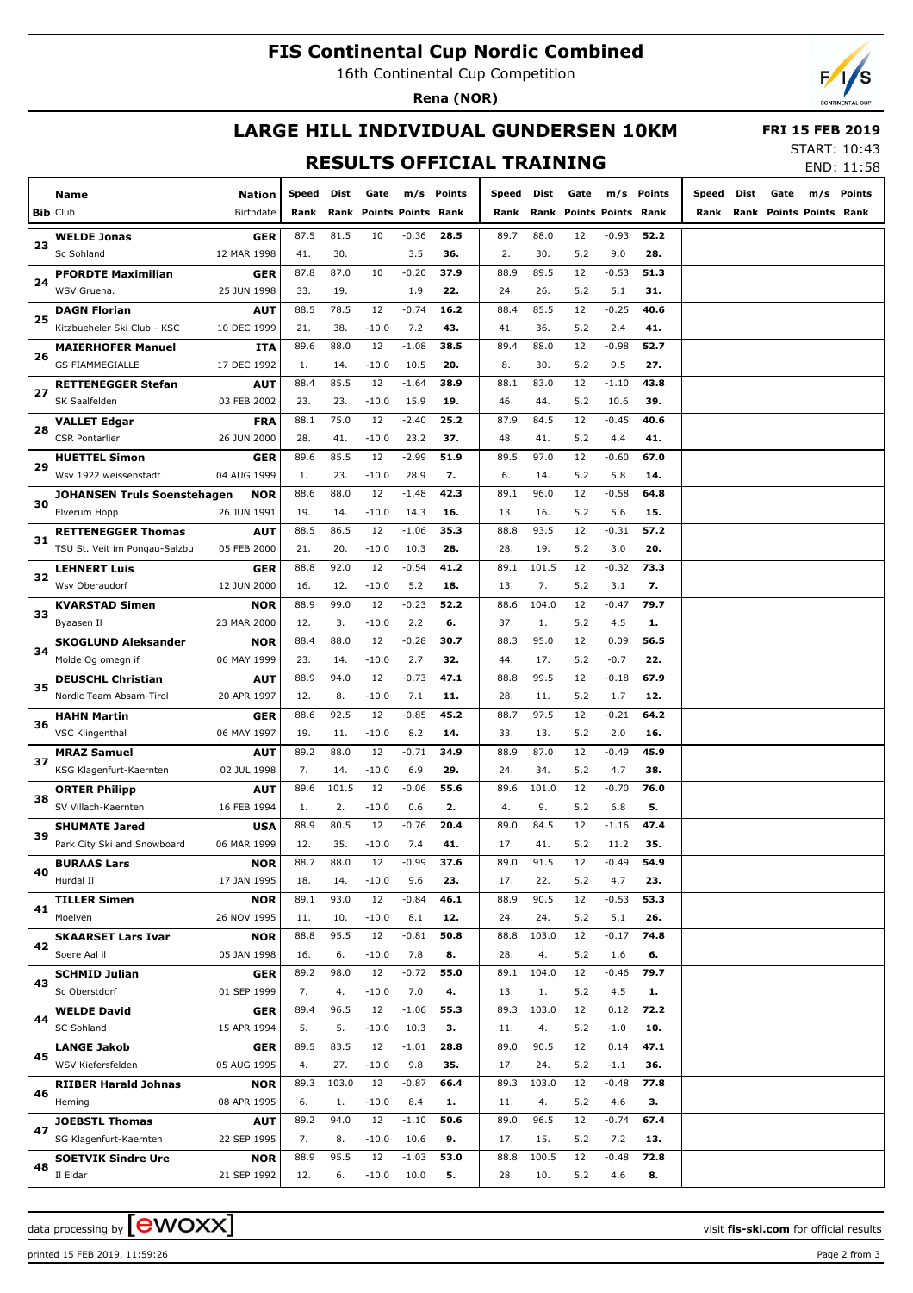# **FIS Continental Cup Nordic Combined**

16th Continental Cup Competition

**Rena (NOR)**



# **LARGE HILL INDIVIDUAL GUNDERSEN 10KM**

 **FRI 15 FEB 2019**

# **RESULTS OFFICIAL TRAINING**

START: 10:43 END: 11:58

| <b>Nation</b><br>Speed<br>Dist<br>Gate<br>m/s<br>Points<br>Dist<br>Gate<br>m/s<br>Points<br>Speed<br>Dist<br>Gate<br>m/s Points<br>Name<br>Speed<br><b>Bib Club</b><br>Birthdate<br>Rank<br>Rank Points Points Rank<br>Rank<br>Rank Points Points Rank<br>Rank<br>Rank Points Points Rank<br>87.5<br>81.5<br>28.5<br>88.0<br><b>GER</b><br>10<br>$-0.36$<br>89.7<br>12<br>$-0.93$<br>52.2<br><b>WELDE Jonas</b><br>23<br>12 MAR 1998<br>41.<br>30.<br>3.5<br>36.<br>2.<br>30.<br>5.2<br>9.0<br>28.<br>Sc Sohland<br>87.0<br>51.3<br>87.8<br>10<br>$-0.20$<br>37.9<br>88.9<br>89.5<br>12<br>$-0.53$<br><b>PFORDTE Maximilian</b><br><b>GER</b><br>24<br>25 JUN 1998<br>33.<br>19.<br>1.9<br>22.<br>26.<br>5.2<br>5.1<br>31.<br>WSV Gruena.<br>24.<br>78.5<br>12<br>16.2<br>$-0.25$<br>40.6<br>88.5<br>$-0.74$<br>88.4<br>85.5<br>12<br><b>DAGN Florian</b><br><b>AUT</b><br>25<br>10 DEC 1999<br>21.<br>38.<br>$-10.0$<br>7.2<br>43.<br>36.<br>5.2<br>2.4<br>41.<br>Kitzbueheler Ski Club - KSC<br>41.<br>88.0<br>12<br>$-1.08$<br>38.5<br>89.6<br>89.4<br>88.0<br>12<br>$-0.98$<br>52.7<br><b>ITA</b><br><b>MAIERHOFER Manuel</b><br>26<br><b>GS FIAMMEGIALLE</b><br>17 DEC 1992<br>14.<br>$-10.0$<br>10.5<br>20.<br>8.<br>30.<br>5.2<br>9.5<br>27.<br>1.<br>85.5<br>43.8<br>88.4<br>12<br>$-1.64$<br>38.9<br>88.1<br>83.0<br>12<br>$-1.10$<br><b>AUT</b><br><b>RETTENEGGER Stefan</b><br>27<br>03 FEB 2002<br>23.<br>23.<br>$-10.0$<br>15.9<br>19.<br>44.<br>5.2<br>10.6<br>39.<br>SK Saalfelden<br>46.<br>75.0<br>$-2.40$<br>25.2<br>$-0.45$<br>88.1<br>12<br>87.9<br>84.5<br>12<br>40.6<br><b>FRA</b><br><b>VALLET Edgar</b><br>28<br>26 JUN 2000<br>28.<br>41.<br>$-10.0$<br>23.2<br>37.<br>5.2<br>4.4<br>41.<br><b>CSR Pontarlier</b><br>48.<br>41.<br>12<br>$-2.99$<br>51.9<br>89.6<br>85.5<br>89.5<br>97.0<br>12<br>$-0.60$<br>67.0<br><b>HUETTEL Simon</b><br><b>GER</b><br>29<br>04 AUG 1999<br>23.<br>$-10.0$<br>28.9<br>7.<br>5.2<br>5.8<br>14.<br>Wsv 1922 weissenstadt<br>1.<br>6.<br>14.<br>42.3<br>88.6<br>88.0<br>12<br>$-1.48$<br>89.1<br>96.0<br>12<br>$-0.58$<br>64.8<br><b>NOR</b><br><b>JOHANSEN Truls Soenstehagen</b><br>30<br>26 JUN 1991<br>19.<br>$-10.0$<br>14.3<br>16.<br>5.2<br>5.6<br>15.<br>Elverum Hopp<br>14.<br>13.<br>16.<br>35.3<br>$-0.31$<br>88.5<br>86.5<br>12<br>$-1.06$<br>88.8<br>93.5<br>12<br>57.2<br><b>RETTENEGGER Thomas</b><br><b>AUT</b><br>31<br>21.<br>20.<br>$-10.0$<br>10.3<br>28.<br>28.<br>19.<br>5.2<br>3.0<br>20.<br>TSU St. Veit im Pongau-Salzbu<br>05 FEB 2000<br>92.0<br>41.2<br>$-0.32$<br>73.3<br>88.8<br>12<br>$-0.54$<br>89.1<br>101.5<br>12<br><b>GER</b><br><b>LEHNERT Luis</b><br>32<br>Wsv Oberaudorf<br>12 JUN 2000<br>16.<br>$-10.0$<br>5.2<br>18.<br>13.<br>7.<br>5.2<br>3.1<br>7.<br>12.<br>79.7<br>88.9<br>99.0<br>12<br>$-0.23$<br>52.2<br>88.6<br>104.0<br>12<br>$-0.47$<br><b>KVARSTAD Simen</b><br><b>NOR</b><br>33<br>23 MAR 2000<br>12.<br>3.<br>$-10.0$<br>2.2<br>6.<br>37.<br>5.2<br>4.5<br>Byaasen Il<br>1.<br>1.<br>30.7<br>88.4<br>88.0<br>12<br>$-0.28$<br>88.3<br>95.0<br>12<br>0.09<br>56.5<br><b>SKOGLUND Aleksander</b><br><b>NOR</b><br>34<br>Molde Og omegn if<br>06 MAY 1999<br>23.<br>$-10.0$<br>2.7<br>32.<br>17.<br>5.2<br>$-0.7$<br>22.<br>14.<br>44.<br>94.0<br>47.1<br>88.9<br>12<br>$-0.73$<br>88.8<br>99.5<br>12<br>$-0.18$<br>67.9<br><b>DEUSCHL Christian</b><br><b>AUT</b><br>35<br>20 APR 1997<br>12.<br>8.<br>$-10.0$<br>7.1<br>11.<br>5.2<br>1.7<br>12.<br>Nordic Team Absam-Tirol<br>28.<br>11.<br>$-0.21$<br>88.6<br>92.5<br>12<br>$-0.85$<br>45.2<br>88.7<br>97.5<br>12<br>64.2<br><b>GER</b><br><b>HAHN Martin</b><br>36<br>06 MAY 1997<br>19.<br>$-10.0$<br>8.2<br>14.<br>13.<br>5.2<br>2.0<br>16.<br><b>VSC Klingenthal</b><br>11.<br>33.<br>89.2<br>88.0<br>12<br>$-0.71$<br>34.9<br>88.9<br>87.0<br>12<br>$-0.49$<br>45.9<br><b>AUT</b><br><b>MRAZ Samuel</b><br>37<br>7.<br>14.<br>$-10.0$<br>6.9<br>29.<br>34.<br>5.2<br>4.7<br>38.<br>KSG Klagenfurt-Kaernten<br>02 JUL 1998<br>24.<br>89.6<br>101.5<br>12<br>$-0.06$<br>55.6<br>89.6<br>101.0<br>12<br>$-0.70$<br>76.0<br><b>AUT</b><br><b>ORTER Philipp</b><br>38<br>16 FEB 1994<br>2.<br>$-10.0$<br>2.<br>9.<br>5.2<br>6.8<br>5.<br>SV Villach-Kaernten<br>1.<br>0.6<br>4.<br>88.9<br>80.5<br>12<br>$-0.76$<br>20.4<br>89.0<br>84.5<br>12<br>$-1.16$<br>47.4<br><b>USA</b><br><b>SHUMATE Jared</b><br>39<br>06 MAR 1999<br>12.<br>35.<br>$-10.0$<br>5.2<br>Park City Ski and Snowboard<br>7.4<br>41.<br>17.<br>41.<br>11.2<br>35.<br>88.7<br>88.0<br>-0.99<br>89.0<br>91.5<br>-0.49<br><b>BURAAS Lars</b><br><b>NOR</b><br>12<br>37.6<br>12<br>54.9<br>40<br>Hurdal II<br>17 JAN 1995<br>23.<br>22.<br>4.7<br>18.<br>14.<br>$-10.0$<br>9.6<br>17.<br>5.2<br>23.<br>93.0<br>12<br>$-0.84$<br>90.5<br>$-0.53$<br>89.1<br>46.1<br>88.9<br>12<br>53.3<br><b>TILLER Simen</b><br><b>NOR</b><br>41<br>26 NOV 1995<br>Moelven<br>$-10.0$<br>8.1<br>12.<br>24.<br>24.<br>5.2<br>5.1<br>26.<br>11.<br>10.<br>95.5<br>12<br>$-0.81$<br>103.0<br>$-0.17$<br>74.8<br>88.8<br>50.8<br>88.8<br>12<br><b>SKAARSET Lars Ivar</b><br><b>NOR</b><br>42<br>Soere Aal il<br>05 JAN 1998<br>16.<br>6.<br>$-10.0$<br>7.8<br>8.<br>28.<br>4.<br>5.2<br>1.6<br>6.<br>12<br>$-0.72$<br>$-0.46$<br>79.7<br>89.2<br>98.0<br>55.0<br>89.1<br>104.0<br>12<br><b>SCHMID Julian</b><br><b>GER</b><br>43<br>Sc Oberstdorf<br>01 SEP 1999<br>7.<br>4.<br>$-10.0$<br>7.0<br>4.<br>13.<br>1.<br>5.2<br>4.5<br>1.<br>$-1.06$<br>0.12<br>89.4<br>96.5<br>12<br>55.3<br>89.3<br>103.0<br>12<br>72.2<br><b>WELDE David</b><br>GER<br>44<br><b>SC Sohland</b><br>15 APR 1994<br>5.<br>5.<br>$-10.0$<br>10.3<br>З.<br>4.<br>5.2<br>$-1.0$<br>10.<br>11.<br>83.5<br>12<br>$-1.01$<br>90.5<br>0.14<br>47.1<br>89.5<br>28.8<br>89.0<br>12<br><b>LANGE Jakob</b><br><b>GER</b><br>45<br>WSV Kiefersfelden<br>05 AUG 1995<br>4.<br>27.<br>$-10.0$<br>9.8<br>35.<br>17.<br>24.<br>5.2<br>$-1.1$<br>36.<br>$-0.87$<br>77.8<br>89.3<br>103.0<br>12<br>66.4<br>89.3<br>103.0<br>12<br>$-0.48$<br><b>RIIBER Harald Johnas</b><br><b>NOR</b><br>46<br>Heming<br>08 APR 1995<br>$-10.0$<br>8.4<br>1.<br>4.<br>5.2<br>4.6<br>З.<br>6.<br>1.<br>11.<br>94.0<br>$-0.74$<br>89.2<br>12<br>$-1.10$<br>50.6<br>89.0<br>96.5<br>12<br>67.4<br><b>JOEBSTL Thomas</b><br><b>AUT</b><br>47<br>SG Klagenfurt-Kaernten<br>22 SEP 1995<br>7.<br>8.<br>$-10.0$<br>10.6<br>9.<br>15.<br>5.2<br>7.2<br>13.<br>17.<br>$-1.03$<br>$-0.48$<br>88.9<br>95.5<br>12<br>53.0<br>88.8<br>100.5<br>12<br>72.8<br><b>SOETVIK Sindre Ure</b><br><b>NOR</b><br>48<br>4.6<br>Il Eldar<br>21 SEP 1992<br>12.<br>6.<br>$-10.0$<br>10.0<br>5.<br>28.<br>10.<br>5.2<br>8. |  |  |  |  |  |  |  |  |  |
|--------------------------------------------------------------------------------------------------------------------------------------------------------------------------------------------------------------------------------------------------------------------------------------------------------------------------------------------------------------------------------------------------------------------------------------------------------------------------------------------------------------------------------------------------------------------------------------------------------------------------------------------------------------------------------------------------------------------------------------------------------------------------------------------------------------------------------------------------------------------------------------------------------------------------------------------------------------------------------------------------------------------------------------------------------------------------------------------------------------------------------------------------------------------------------------------------------------------------------------------------------------------------------------------------------------------------------------------------------------------------------------------------------------------------------------------------------------------------------------------------------------------------------------------------------------------------------------------------------------------------------------------------------------------------------------------------------------------------------------------------------------------------------------------------------------------------------------------------------------------------------------------------------------------------------------------------------------------------------------------------------------------------------------------------------------------------------------------------------------------------------------------------------------------------------------------------------------------------------------------------------------------------------------------------------------------------------------------------------------------------------------------------------------------------------------------------------------------------------------------------------------------------------------------------------------------------------------------------------------------------------------------------------------------------------------------------------------------------------------------------------------------------------------------------------------------------------------------------------------------------------------------------------------------------------------------------------------------------------------------------------------------------------------------------------------------------------------------------------------------------------------------------------------------------------------------------------------------------------------------------------------------------------------------------------------------------------------------------------------------------------------------------------------------------------------------------------------------------------------------------------------------------------------------------------------------------------------------------------------------------------------------------------------------------------------------------------------------------------------------------------------------------------------------------------------------------------------------------------------------------------------------------------------------------------------------------------------------------------------------------------------------------------------------------------------------------------------------------------------------------------------------------------------------------------------------------------------------------------------------------------------------------------------------------------------------------------------------------------------------------------------------------------------------------------------------------------------------------------------------------------------------------------------------------------------------------------------------------------------------------------------------------------------------------------------------------------------------------------------------------------------------------------------------------------------------------------------------------------------------------------------------------------------------------------------------------------------------------------------------------------------------------------------------------------------------------------------------------------------------------------------------------------------------------------------------------------------------------------------------------------------------------------------------------------------------------------------------------------------------------------------------------------------------------------------------------------------------------------------------------------------------------------------------------------------------------------------------------------------------------------------------------------------------------------------------------------------------------------------------------------------------------------------------------------------------------------------------------------------------------------------------------------------------------------------------------------------------------------------------------------------------------------------------------------------------------------------------------------------------------------------------------------------------------------------------------------------------------------------------------------------------------------------------------------------------------------------------------------------------------------------------------------------------------------------------------------------------------------------------------------------------------------------------------------------------------------------------------------------------------------------------------------------|--|--|--|--|--|--|--|--|--|
|                                                                                                                                                                                                                                                                                                                                                                                                                                                                                                                                                                                                                                                                                                                                                                                                                                                                                                                                                                                                                                                                                                                                                                                                                                                                                                                                                                                                                                                                                                                                                                                                                                                                                                                                                                                                                                                                                                                                                                                                                                                                                                                                                                                                                                                                                                                                                                                                                                                                                                                                                                                                                                                                                                                                                                                                                                                                                                                                                                                                                                                                                                                                                                                                                                                                                                                                                                                                                                                                                                                                                                                                                                                                                                                                                                                                                                                                                                                                                                                                                                                                                                                                                                                                                                                                                                                                                                                                                                                                                                                                                                                                                                                                                                                                                                                                                                                                                                                                                                                                                                                                                                                                                                                                                                                                                                                                                                                                                                                                                                                                                                                                                                                                                                                                                                                                                                                                                                                                                                                                                                                                                                                                                                                                                                                                                                                                                                                                                                                                                                                                                                                                                                                              |  |  |  |  |  |  |  |  |  |
|                                                                                                                                                                                                                                                                                                                                                                                                                                                                                                                                                                                                                                                                                                                                                                                                                                                                                                                                                                                                                                                                                                                                                                                                                                                                                                                                                                                                                                                                                                                                                                                                                                                                                                                                                                                                                                                                                                                                                                                                                                                                                                                                                                                                                                                                                                                                                                                                                                                                                                                                                                                                                                                                                                                                                                                                                                                                                                                                                                                                                                                                                                                                                                                                                                                                                                                                                                                                                                                                                                                                                                                                                                                                                                                                                                                                                                                                                                                                                                                                                                                                                                                                                                                                                                                                                                                                                                                                                                                                                                                                                                                                                                                                                                                                                                                                                                                                                                                                                                                                                                                                                                                                                                                                                                                                                                                                                                                                                                                                                                                                                                                                                                                                                                                                                                                                                                                                                                                                                                                                                                                                                                                                                                                                                                                                                                                                                                                                                                                                                                                                                                                                                                                              |  |  |  |  |  |  |  |  |  |
|                                                                                                                                                                                                                                                                                                                                                                                                                                                                                                                                                                                                                                                                                                                                                                                                                                                                                                                                                                                                                                                                                                                                                                                                                                                                                                                                                                                                                                                                                                                                                                                                                                                                                                                                                                                                                                                                                                                                                                                                                                                                                                                                                                                                                                                                                                                                                                                                                                                                                                                                                                                                                                                                                                                                                                                                                                                                                                                                                                                                                                                                                                                                                                                                                                                                                                                                                                                                                                                                                                                                                                                                                                                                                                                                                                                                                                                                                                                                                                                                                                                                                                                                                                                                                                                                                                                                                                                                                                                                                                                                                                                                                                                                                                                                                                                                                                                                                                                                                                                                                                                                                                                                                                                                                                                                                                                                                                                                                                                                                                                                                                                                                                                                                                                                                                                                                                                                                                                                                                                                                                                                                                                                                                                                                                                                                                                                                                                                                                                                                                                                                                                                                                                              |  |  |  |  |  |  |  |  |  |
|                                                                                                                                                                                                                                                                                                                                                                                                                                                                                                                                                                                                                                                                                                                                                                                                                                                                                                                                                                                                                                                                                                                                                                                                                                                                                                                                                                                                                                                                                                                                                                                                                                                                                                                                                                                                                                                                                                                                                                                                                                                                                                                                                                                                                                                                                                                                                                                                                                                                                                                                                                                                                                                                                                                                                                                                                                                                                                                                                                                                                                                                                                                                                                                                                                                                                                                                                                                                                                                                                                                                                                                                                                                                                                                                                                                                                                                                                                                                                                                                                                                                                                                                                                                                                                                                                                                                                                                                                                                                                                                                                                                                                                                                                                                                                                                                                                                                                                                                                                                                                                                                                                                                                                                                                                                                                                                                                                                                                                                                                                                                                                                                                                                                                                                                                                                                                                                                                                                                                                                                                                                                                                                                                                                                                                                                                                                                                                                                                                                                                                                                                                                                                                                              |  |  |  |  |  |  |  |  |  |
|                                                                                                                                                                                                                                                                                                                                                                                                                                                                                                                                                                                                                                                                                                                                                                                                                                                                                                                                                                                                                                                                                                                                                                                                                                                                                                                                                                                                                                                                                                                                                                                                                                                                                                                                                                                                                                                                                                                                                                                                                                                                                                                                                                                                                                                                                                                                                                                                                                                                                                                                                                                                                                                                                                                                                                                                                                                                                                                                                                                                                                                                                                                                                                                                                                                                                                                                                                                                                                                                                                                                                                                                                                                                                                                                                                                                                                                                                                                                                                                                                                                                                                                                                                                                                                                                                                                                                                                                                                                                                                                                                                                                                                                                                                                                                                                                                                                                                                                                                                                                                                                                                                                                                                                                                                                                                                                                                                                                                                                                                                                                                                                                                                                                                                                                                                                                                                                                                                                                                                                                                                                                                                                                                                                                                                                                                                                                                                                                                                                                                                                                                                                                                                                              |  |  |  |  |  |  |  |  |  |
|                                                                                                                                                                                                                                                                                                                                                                                                                                                                                                                                                                                                                                                                                                                                                                                                                                                                                                                                                                                                                                                                                                                                                                                                                                                                                                                                                                                                                                                                                                                                                                                                                                                                                                                                                                                                                                                                                                                                                                                                                                                                                                                                                                                                                                                                                                                                                                                                                                                                                                                                                                                                                                                                                                                                                                                                                                                                                                                                                                                                                                                                                                                                                                                                                                                                                                                                                                                                                                                                                                                                                                                                                                                                                                                                                                                                                                                                                                                                                                                                                                                                                                                                                                                                                                                                                                                                                                                                                                                                                                                                                                                                                                                                                                                                                                                                                                                                                                                                                                                                                                                                                                                                                                                                                                                                                                                                                                                                                                                                                                                                                                                                                                                                                                                                                                                                                                                                                                                                                                                                                                                                                                                                                                                                                                                                                                                                                                                                                                                                                                                                                                                                                                                              |  |  |  |  |  |  |  |  |  |
|                                                                                                                                                                                                                                                                                                                                                                                                                                                                                                                                                                                                                                                                                                                                                                                                                                                                                                                                                                                                                                                                                                                                                                                                                                                                                                                                                                                                                                                                                                                                                                                                                                                                                                                                                                                                                                                                                                                                                                                                                                                                                                                                                                                                                                                                                                                                                                                                                                                                                                                                                                                                                                                                                                                                                                                                                                                                                                                                                                                                                                                                                                                                                                                                                                                                                                                                                                                                                                                                                                                                                                                                                                                                                                                                                                                                                                                                                                                                                                                                                                                                                                                                                                                                                                                                                                                                                                                                                                                                                                                                                                                                                                                                                                                                                                                                                                                                                                                                                                                                                                                                                                                                                                                                                                                                                                                                                                                                                                                                                                                                                                                                                                                                                                                                                                                                                                                                                                                                                                                                                                                                                                                                                                                                                                                                                                                                                                                                                                                                                                                                                                                                                                                              |  |  |  |  |  |  |  |  |  |
|                                                                                                                                                                                                                                                                                                                                                                                                                                                                                                                                                                                                                                                                                                                                                                                                                                                                                                                                                                                                                                                                                                                                                                                                                                                                                                                                                                                                                                                                                                                                                                                                                                                                                                                                                                                                                                                                                                                                                                                                                                                                                                                                                                                                                                                                                                                                                                                                                                                                                                                                                                                                                                                                                                                                                                                                                                                                                                                                                                                                                                                                                                                                                                                                                                                                                                                                                                                                                                                                                                                                                                                                                                                                                                                                                                                                                                                                                                                                                                                                                                                                                                                                                                                                                                                                                                                                                                                                                                                                                                                                                                                                                                                                                                                                                                                                                                                                                                                                                                                                                                                                                                                                                                                                                                                                                                                                                                                                                                                                                                                                                                                                                                                                                                                                                                                                                                                                                                                                                                                                                                                                                                                                                                                                                                                                                                                                                                                                                                                                                                                                                                                                                                                              |  |  |  |  |  |  |  |  |  |
|                                                                                                                                                                                                                                                                                                                                                                                                                                                                                                                                                                                                                                                                                                                                                                                                                                                                                                                                                                                                                                                                                                                                                                                                                                                                                                                                                                                                                                                                                                                                                                                                                                                                                                                                                                                                                                                                                                                                                                                                                                                                                                                                                                                                                                                                                                                                                                                                                                                                                                                                                                                                                                                                                                                                                                                                                                                                                                                                                                                                                                                                                                                                                                                                                                                                                                                                                                                                                                                                                                                                                                                                                                                                                                                                                                                                                                                                                                                                                                                                                                                                                                                                                                                                                                                                                                                                                                                                                                                                                                                                                                                                                                                                                                                                                                                                                                                                                                                                                                                                                                                                                                                                                                                                                                                                                                                                                                                                                                                                                                                                                                                                                                                                                                                                                                                                                                                                                                                                                                                                                                                                                                                                                                                                                                                                                                                                                                                                                                                                                                                                                                                                                                                              |  |  |  |  |  |  |  |  |  |
|                                                                                                                                                                                                                                                                                                                                                                                                                                                                                                                                                                                                                                                                                                                                                                                                                                                                                                                                                                                                                                                                                                                                                                                                                                                                                                                                                                                                                                                                                                                                                                                                                                                                                                                                                                                                                                                                                                                                                                                                                                                                                                                                                                                                                                                                                                                                                                                                                                                                                                                                                                                                                                                                                                                                                                                                                                                                                                                                                                                                                                                                                                                                                                                                                                                                                                                                                                                                                                                                                                                                                                                                                                                                                                                                                                                                                                                                                                                                                                                                                                                                                                                                                                                                                                                                                                                                                                                                                                                                                                                                                                                                                                                                                                                                                                                                                                                                                                                                                                                                                                                                                                                                                                                                                                                                                                                                                                                                                                                                                                                                                                                                                                                                                                                                                                                                                                                                                                                                                                                                                                                                                                                                                                                                                                                                                                                                                                                                                                                                                                                                                                                                                                                              |  |  |  |  |  |  |  |  |  |
|                                                                                                                                                                                                                                                                                                                                                                                                                                                                                                                                                                                                                                                                                                                                                                                                                                                                                                                                                                                                                                                                                                                                                                                                                                                                                                                                                                                                                                                                                                                                                                                                                                                                                                                                                                                                                                                                                                                                                                                                                                                                                                                                                                                                                                                                                                                                                                                                                                                                                                                                                                                                                                                                                                                                                                                                                                                                                                                                                                                                                                                                                                                                                                                                                                                                                                                                                                                                                                                                                                                                                                                                                                                                                                                                                                                                                                                                                                                                                                                                                                                                                                                                                                                                                                                                                                                                                                                                                                                                                                                                                                                                                                                                                                                                                                                                                                                                                                                                                                                                                                                                                                                                                                                                                                                                                                                                                                                                                                                                                                                                                                                                                                                                                                                                                                                                                                                                                                                                                                                                                                                                                                                                                                                                                                                                                                                                                                                                                                                                                                                                                                                                                                                              |  |  |  |  |  |  |  |  |  |
|                                                                                                                                                                                                                                                                                                                                                                                                                                                                                                                                                                                                                                                                                                                                                                                                                                                                                                                                                                                                                                                                                                                                                                                                                                                                                                                                                                                                                                                                                                                                                                                                                                                                                                                                                                                                                                                                                                                                                                                                                                                                                                                                                                                                                                                                                                                                                                                                                                                                                                                                                                                                                                                                                                                                                                                                                                                                                                                                                                                                                                                                                                                                                                                                                                                                                                                                                                                                                                                                                                                                                                                                                                                                                                                                                                                                                                                                                                                                                                                                                                                                                                                                                                                                                                                                                                                                                                                                                                                                                                                                                                                                                                                                                                                                                                                                                                                                                                                                                                                                                                                                                                                                                                                                                                                                                                                                                                                                                                                                                                                                                                                                                                                                                                                                                                                                                                                                                                                                                                                                                                                                                                                                                                                                                                                                                                                                                                                                                                                                                                                                                                                                                                                              |  |  |  |  |  |  |  |  |  |
|                                                                                                                                                                                                                                                                                                                                                                                                                                                                                                                                                                                                                                                                                                                                                                                                                                                                                                                                                                                                                                                                                                                                                                                                                                                                                                                                                                                                                                                                                                                                                                                                                                                                                                                                                                                                                                                                                                                                                                                                                                                                                                                                                                                                                                                                                                                                                                                                                                                                                                                                                                                                                                                                                                                                                                                                                                                                                                                                                                                                                                                                                                                                                                                                                                                                                                                                                                                                                                                                                                                                                                                                                                                                                                                                                                                                                                                                                                                                                                                                                                                                                                                                                                                                                                                                                                                                                                                                                                                                                                                                                                                                                                                                                                                                                                                                                                                                                                                                                                                                                                                                                                                                                                                                                                                                                                                                                                                                                                                                                                                                                                                                                                                                                                                                                                                                                                                                                                                                                                                                                                                                                                                                                                                                                                                                                                                                                                                                                                                                                                                                                                                                                                                              |  |  |  |  |  |  |  |  |  |
|                                                                                                                                                                                                                                                                                                                                                                                                                                                                                                                                                                                                                                                                                                                                                                                                                                                                                                                                                                                                                                                                                                                                                                                                                                                                                                                                                                                                                                                                                                                                                                                                                                                                                                                                                                                                                                                                                                                                                                                                                                                                                                                                                                                                                                                                                                                                                                                                                                                                                                                                                                                                                                                                                                                                                                                                                                                                                                                                                                                                                                                                                                                                                                                                                                                                                                                                                                                                                                                                                                                                                                                                                                                                                                                                                                                                                                                                                                                                                                                                                                                                                                                                                                                                                                                                                                                                                                                                                                                                                                                                                                                                                                                                                                                                                                                                                                                                                                                                                                                                                                                                                                                                                                                                                                                                                                                                                                                                                                                                                                                                                                                                                                                                                                                                                                                                                                                                                                                                                                                                                                                                                                                                                                                                                                                                                                                                                                                                                                                                                                                                                                                                                                                              |  |  |  |  |  |  |  |  |  |
|                                                                                                                                                                                                                                                                                                                                                                                                                                                                                                                                                                                                                                                                                                                                                                                                                                                                                                                                                                                                                                                                                                                                                                                                                                                                                                                                                                                                                                                                                                                                                                                                                                                                                                                                                                                                                                                                                                                                                                                                                                                                                                                                                                                                                                                                                                                                                                                                                                                                                                                                                                                                                                                                                                                                                                                                                                                                                                                                                                                                                                                                                                                                                                                                                                                                                                                                                                                                                                                                                                                                                                                                                                                                                                                                                                                                                                                                                                                                                                                                                                                                                                                                                                                                                                                                                                                                                                                                                                                                                                                                                                                                                                                                                                                                                                                                                                                                                                                                                                                                                                                                                                                                                                                                                                                                                                                                                                                                                                                                                                                                                                                                                                                                                                                                                                                                                                                                                                                                                                                                                                                                                                                                                                                                                                                                                                                                                                                                                                                                                                                                                                                                                                                              |  |  |  |  |  |  |  |  |  |
|                                                                                                                                                                                                                                                                                                                                                                                                                                                                                                                                                                                                                                                                                                                                                                                                                                                                                                                                                                                                                                                                                                                                                                                                                                                                                                                                                                                                                                                                                                                                                                                                                                                                                                                                                                                                                                                                                                                                                                                                                                                                                                                                                                                                                                                                                                                                                                                                                                                                                                                                                                                                                                                                                                                                                                                                                                                                                                                                                                                                                                                                                                                                                                                                                                                                                                                                                                                                                                                                                                                                                                                                                                                                                                                                                                                                                                                                                                                                                                                                                                                                                                                                                                                                                                                                                                                                                                                                                                                                                                                                                                                                                                                                                                                                                                                                                                                                                                                                                                                                                                                                                                                                                                                                                                                                                                                                                                                                                                                                                                                                                                                                                                                                                                                                                                                                                                                                                                                                                                                                                                                                                                                                                                                                                                                                                                                                                                                                                                                                                                                                                                                                                                                              |  |  |  |  |  |  |  |  |  |
|                                                                                                                                                                                                                                                                                                                                                                                                                                                                                                                                                                                                                                                                                                                                                                                                                                                                                                                                                                                                                                                                                                                                                                                                                                                                                                                                                                                                                                                                                                                                                                                                                                                                                                                                                                                                                                                                                                                                                                                                                                                                                                                                                                                                                                                                                                                                                                                                                                                                                                                                                                                                                                                                                                                                                                                                                                                                                                                                                                                                                                                                                                                                                                                                                                                                                                                                                                                                                                                                                                                                                                                                                                                                                                                                                                                                                                                                                                                                                                                                                                                                                                                                                                                                                                                                                                                                                                                                                                                                                                                                                                                                                                                                                                                                                                                                                                                                                                                                                                                                                                                                                                                                                                                                                                                                                                                                                                                                                                                                                                                                                                                                                                                                                                                                                                                                                                                                                                                                                                                                                                                                                                                                                                                                                                                                                                                                                                                                                                                                                                                                                                                                                                                              |  |  |  |  |  |  |  |  |  |
|                                                                                                                                                                                                                                                                                                                                                                                                                                                                                                                                                                                                                                                                                                                                                                                                                                                                                                                                                                                                                                                                                                                                                                                                                                                                                                                                                                                                                                                                                                                                                                                                                                                                                                                                                                                                                                                                                                                                                                                                                                                                                                                                                                                                                                                                                                                                                                                                                                                                                                                                                                                                                                                                                                                                                                                                                                                                                                                                                                                                                                                                                                                                                                                                                                                                                                                                                                                                                                                                                                                                                                                                                                                                                                                                                                                                                                                                                                                                                                                                                                                                                                                                                                                                                                                                                                                                                                                                                                                                                                                                                                                                                                                                                                                                                                                                                                                                                                                                                                                                                                                                                                                                                                                                                                                                                                                                                                                                                                                                                                                                                                                                                                                                                                                                                                                                                                                                                                                                                                                                                                                                                                                                                                                                                                                                                                                                                                                                                                                                                                                                                                                                                                                              |  |  |  |  |  |  |  |  |  |
|                                                                                                                                                                                                                                                                                                                                                                                                                                                                                                                                                                                                                                                                                                                                                                                                                                                                                                                                                                                                                                                                                                                                                                                                                                                                                                                                                                                                                                                                                                                                                                                                                                                                                                                                                                                                                                                                                                                                                                                                                                                                                                                                                                                                                                                                                                                                                                                                                                                                                                                                                                                                                                                                                                                                                                                                                                                                                                                                                                                                                                                                                                                                                                                                                                                                                                                                                                                                                                                                                                                                                                                                                                                                                                                                                                                                                                                                                                                                                                                                                                                                                                                                                                                                                                                                                                                                                                                                                                                                                                                                                                                                                                                                                                                                                                                                                                                                                                                                                                                                                                                                                                                                                                                                                                                                                                                                                                                                                                                                                                                                                                                                                                                                                                                                                                                                                                                                                                                                                                                                                                                                                                                                                                                                                                                                                                                                                                                                                                                                                                                                                                                                                                                              |  |  |  |  |  |  |  |  |  |
|                                                                                                                                                                                                                                                                                                                                                                                                                                                                                                                                                                                                                                                                                                                                                                                                                                                                                                                                                                                                                                                                                                                                                                                                                                                                                                                                                                                                                                                                                                                                                                                                                                                                                                                                                                                                                                                                                                                                                                                                                                                                                                                                                                                                                                                                                                                                                                                                                                                                                                                                                                                                                                                                                                                                                                                                                                                                                                                                                                                                                                                                                                                                                                                                                                                                                                                                                                                                                                                                                                                                                                                                                                                                                                                                                                                                                                                                                                                                                                                                                                                                                                                                                                                                                                                                                                                                                                                                                                                                                                                                                                                                                                                                                                                                                                                                                                                                                                                                                                                                                                                                                                                                                                                                                                                                                                                                                                                                                                                                                                                                                                                                                                                                                                                                                                                                                                                                                                                                                                                                                                                                                                                                                                                                                                                                                                                                                                                                                                                                                                                                                                                                                                                              |  |  |  |  |  |  |  |  |  |
|                                                                                                                                                                                                                                                                                                                                                                                                                                                                                                                                                                                                                                                                                                                                                                                                                                                                                                                                                                                                                                                                                                                                                                                                                                                                                                                                                                                                                                                                                                                                                                                                                                                                                                                                                                                                                                                                                                                                                                                                                                                                                                                                                                                                                                                                                                                                                                                                                                                                                                                                                                                                                                                                                                                                                                                                                                                                                                                                                                                                                                                                                                                                                                                                                                                                                                                                                                                                                                                                                                                                                                                                                                                                                                                                                                                                                                                                                                                                                                                                                                                                                                                                                                                                                                                                                                                                                                                                                                                                                                                                                                                                                                                                                                                                                                                                                                                                                                                                                                                                                                                                                                                                                                                                                                                                                                                                                                                                                                                                                                                                                                                                                                                                                                                                                                                                                                                                                                                                                                                                                                                                                                                                                                                                                                                                                                                                                                                                                                                                                                                                                                                                                                                              |  |  |  |  |  |  |  |  |  |
|                                                                                                                                                                                                                                                                                                                                                                                                                                                                                                                                                                                                                                                                                                                                                                                                                                                                                                                                                                                                                                                                                                                                                                                                                                                                                                                                                                                                                                                                                                                                                                                                                                                                                                                                                                                                                                                                                                                                                                                                                                                                                                                                                                                                                                                                                                                                                                                                                                                                                                                                                                                                                                                                                                                                                                                                                                                                                                                                                                                                                                                                                                                                                                                                                                                                                                                                                                                                                                                                                                                                                                                                                                                                                                                                                                                                                                                                                                                                                                                                                                                                                                                                                                                                                                                                                                                                                                                                                                                                                                                                                                                                                                                                                                                                                                                                                                                                                                                                                                                                                                                                                                                                                                                                                                                                                                                                                                                                                                                                                                                                                                                                                                                                                                                                                                                                                                                                                                                                                                                                                                                                                                                                                                                                                                                                                                                                                                                                                                                                                                                                                                                                                                                              |  |  |  |  |  |  |  |  |  |
|                                                                                                                                                                                                                                                                                                                                                                                                                                                                                                                                                                                                                                                                                                                                                                                                                                                                                                                                                                                                                                                                                                                                                                                                                                                                                                                                                                                                                                                                                                                                                                                                                                                                                                                                                                                                                                                                                                                                                                                                                                                                                                                                                                                                                                                                                                                                                                                                                                                                                                                                                                                                                                                                                                                                                                                                                                                                                                                                                                                                                                                                                                                                                                                                                                                                                                                                                                                                                                                                                                                                                                                                                                                                                                                                                                                                                                                                                                                                                                                                                                                                                                                                                                                                                                                                                                                                                                                                                                                                                                                                                                                                                                                                                                                                                                                                                                                                                                                                                                                                                                                                                                                                                                                                                                                                                                                                                                                                                                                                                                                                                                                                                                                                                                                                                                                                                                                                                                                                                                                                                                                                                                                                                                                                                                                                                                                                                                                                                                                                                                                                                                                                                                                              |  |  |  |  |  |  |  |  |  |
|                                                                                                                                                                                                                                                                                                                                                                                                                                                                                                                                                                                                                                                                                                                                                                                                                                                                                                                                                                                                                                                                                                                                                                                                                                                                                                                                                                                                                                                                                                                                                                                                                                                                                                                                                                                                                                                                                                                                                                                                                                                                                                                                                                                                                                                                                                                                                                                                                                                                                                                                                                                                                                                                                                                                                                                                                                                                                                                                                                                                                                                                                                                                                                                                                                                                                                                                                                                                                                                                                                                                                                                                                                                                                                                                                                                                                                                                                                                                                                                                                                                                                                                                                                                                                                                                                                                                                                                                                                                                                                                                                                                                                                                                                                                                                                                                                                                                                                                                                                                                                                                                                                                                                                                                                                                                                                                                                                                                                                                                                                                                                                                                                                                                                                                                                                                                                                                                                                                                                                                                                                                                                                                                                                                                                                                                                                                                                                                                                                                                                                                                                                                                                                                              |  |  |  |  |  |  |  |  |  |
|                                                                                                                                                                                                                                                                                                                                                                                                                                                                                                                                                                                                                                                                                                                                                                                                                                                                                                                                                                                                                                                                                                                                                                                                                                                                                                                                                                                                                                                                                                                                                                                                                                                                                                                                                                                                                                                                                                                                                                                                                                                                                                                                                                                                                                                                                                                                                                                                                                                                                                                                                                                                                                                                                                                                                                                                                                                                                                                                                                                                                                                                                                                                                                                                                                                                                                                                                                                                                                                                                                                                                                                                                                                                                                                                                                                                                                                                                                                                                                                                                                                                                                                                                                                                                                                                                                                                                                                                                                                                                                                                                                                                                                                                                                                                                                                                                                                                                                                                                                                                                                                                                                                                                                                                                                                                                                                                                                                                                                                                                                                                                                                                                                                                                                                                                                                                                                                                                                                                                                                                                                                                                                                                                                                                                                                                                                                                                                                                                                                                                                                                                                                                                                                              |  |  |  |  |  |  |  |  |  |
|                                                                                                                                                                                                                                                                                                                                                                                                                                                                                                                                                                                                                                                                                                                                                                                                                                                                                                                                                                                                                                                                                                                                                                                                                                                                                                                                                                                                                                                                                                                                                                                                                                                                                                                                                                                                                                                                                                                                                                                                                                                                                                                                                                                                                                                                                                                                                                                                                                                                                                                                                                                                                                                                                                                                                                                                                                                                                                                                                                                                                                                                                                                                                                                                                                                                                                                                                                                                                                                                                                                                                                                                                                                                                                                                                                                                                                                                                                                                                                                                                                                                                                                                                                                                                                                                                                                                                                                                                                                                                                                                                                                                                                                                                                                                                                                                                                                                                                                                                                                                                                                                                                                                                                                                                                                                                                                                                                                                                                                                                                                                                                                                                                                                                                                                                                                                                                                                                                                                                                                                                                                                                                                                                                                                                                                                                                                                                                                                                                                                                                                                                                                                                                                              |  |  |  |  |  |  |  |  |  |
|                                                                                                                                                                                                                                                                                                                                                                                                                                                                                                                                                                                                                                                                                                                                                                                                                                                                                                                                                                                                                                                                                                                                                                                                                                                                                                                                                                                                                                                                                                                                                                                                                                                                                                                                                                                                                                                                                                                                                                                                                                                                                                                                                                                                                                                                                                                                                                                                                                                                                                                                                                                                                                                                                                                                                                                                                                                                                                                                                                                                                                                                                                                                                                                                                                                                                                                                                                                                                                                                                                                                                                                                                                                                                                                                                                                                                                                                                                                                                                                                                                                                                                                                                                                                                                                                                                                                                                                                                                                                                                                                                                                                                                                                                                                                                                                                                                                                                                                                                                                                                                                                                                                                                                                                                                                                                                                                                                                                                                                                                                                                                                                                                                                                                                                                                                                                                                                                                                                                                                                                                                                                                                                                                                                                                                                                                                                                                                                                                                                                                                                                                                                                                                                              |  |  |  |  |  |  |  |  |  |
|                                                                                                                                                                                                                                                                                                                                                                                                                                                                                                                                                                                                                                                                                                                                                                                                                                                                                                                                                                                                                                                                                                                                                                                                                                                                                                                                                                                                                                                                                                                                                                                                                                                                                                                                                                                                                                                                                                                                                                                                                                                                                                                                                                                                                                                                                                                                                                                                                                                                                                                                                                                                                                                                                                                                                                                                                                                                                                                                                                                                                                                                                                                                                                                                                                                                                                                                                                                                                                                                                                                                                                                                                                                                                                                                                                                                                                                                                                                                                                                                                                                                                                                                                                                                                                                                                                                                                                                                                                                                                                                                                                                                                                                                                                                                                                                                                                                                                                                                                                                                                                                                                                                                                                                                                                                                                                                                                                                                                                                                                                                                                                                                                                                                                                                                                                                                                                                                                                                                                                                                                                                                                                                                                                                                                                                                                                                                                                                                                                                                                                                                                                                                                                                              |  |  |  |  |  |  |  |  |  |
|                                                                                                                                                                                                                                                                                                                                                                                                                                                                                                                                                                                                                                                                                                                                                                                                                                                                                                                                                                                                                                                                                                                                                                                                                                                                                                                                                                                                                                                                                                                                                                                                                                                                                                                                                                                                                                                                                                                                                                                                                                                                                                                                                                                                                                                                                                                                                                                                                                                                                                                                                                                                                                                                                                                                                                                                                                                                                                                                                                                                                                                                                                                                                                                                                                                                                                                                                                                                                                                                                                                                                                                                                                                                                                                                                                                                                                                                                                                                                                                                                                                                                                                                                                                                                                                                                                                                                                                                                                                                                                                                                                                                                                                                                                                                                                                                                                                                                                                                                                                                                                                                                                                                                                                                                                                                                                                                                                                                                                                                                                                                                                                                                                                                                                                                                                                                                                                                                                                                                                                                                                                                                                                                                                                                                                                                                                                                                                                                                                                                                                                                                                                                                                                              |  |  |  |  |  |  |  |  |  |
|                                                                                                                                                                                                                                                                                                                                                                                                                                                                                                                                                                                                                                                                                                                                                                                                                                                                                                                                                                                                                                                                                                                                                                                                                                                                                                                                                                                                                                                                                                                                                                                                                                                                                                                                                                                                                                                                                                                                                                                                                                                                                                                                                                                                                                                                                                                                                                                                                                                                                                                                                                                                                                                                                                                                                                                                                                                                                                                                                                                                                                                                                                                                                                                                                                                                                                                                                                                                                                                                                                                                                                                                                                                                                                                                                                                                                                                                                                                                                                                                                                                                                                                                                                                                                                                                                                                                                                                                                                                                                                                                                                                                                                                                                                                                                                                                                                                                                                                                                                                                                                                                                                                                                                                                                                                                                                                                                                                                                                                                                                                                                                                                                                                                                                                                                                                                                                                                                                                                                                                                                                                                                                                                                                                                                                                                                                                                                                                                                                                                                                                                                                                                                                                              |  |  |  |  |  |  |  |  |  |
|                                                                                                                                                                                                                                                                                                                                                                                                                                                                                                                                                                                                                                                                                                                                                                                                                                                                                                                                                                                                                                                                                                                                                                                                                                                                                                                                                                                                                                                                                                                                                                                                                                                                                                                                                                                                                                                                                                                                                                                                                                                                                                                                                                                                                                                                                                                                                                                                                                                                                                                                                                                                                                                                                                                                                                                                                                                                                                                                                                                                                                                                                                                                                                                                                                                                                                                                                                                                                                                                                                                                                                                                                                                                                                                                                                                                                                                                                                                                                                                                                                                                                                                                                                                                                                                                                                                                                                                                                                                                                                                                                                                                                                                                                                                                                                                                                                                                                                                                                                                                                                                                                                                                                                                                                                                                                                                                                                                                                                                                                                                                                                                                                                                                                                                                                                                                                                                                                                                                                                                                                                                                                                                                                                                                                                                                                                                                                                                                                                                                                                                                                                                                                                                              |  |  |  |  |  |  |  |  |  |
|                                                                                                                                                                                                                                                                                                                                                                                                                                                                                                                                                                                                                                                                                                                                                                                                                                                                                                                                                                                                                                                                                                                                                                                                                                                                                                                                                                                                                                                                                                                                                                                                                                                                                                                                                                                                                                                                                                                                                                                                                                                                                                                                                                                                                                                                                                                                                                                                                                                                                                                                                                                                                                                                                                                                                                                                                                                                                                                                                                                                                                                                                                                                                                                                                                                                                                                                                                                                                                                                                                                                                                                                                                                                                                                                                                                                                                                                                                                                                                                                                                                                                                                                                                                                                                                                                                                                                                                                                                                                                                                                                                                                                                                                                                                                                                                                                                                                                                                                                                                                                                                                                                                                                                                                                                                                                                                                                                                                                                                                                                                                                                                                                                                                                                                                                                                                                                                                                                                                                                                                                                                                                                                                                                                                                                                                                                                                                                                                                                                                                                                                                                                                                                                              |  |  |  |  |  |  |  |  |  |
|                                                                                                                                                                                                                                                                                                                                                                                                                                                                                                                                                                                                                                                                                                                                                                                                                                                                                                                                                                                                                                                                                                                                                                                                                                                                                                                                                                                                                                                                                                                                                                                                                                                                                                                                                                                                                                                                                                                                                                                                                                                                                                                                                                                                                                                                                                                                                                                                                                                                                                                                                                                                                                                                                                                                                                                                                                                                                                                                                                                                                                                                                                                                                                                                                                                                                                                                                                                                                                                                                                                                                                                                                                                                                                                                                                                                                                                                                                                                                                                                                                                                                                                                                                                                                                                                                                                                                                                                                                                                                                                                                                                                                                                                                                                                                                                                                                                                                                                                                                                                                                                                                                                                                                                                                                                                                                                                                                                                                                                                                                                                                                                                                                                                                                                                                                                                                                                                                                                                                                                                                                                                                                                                                                                                                                                                                                                                                                                                                                                                                                                                                                                                                                                              |  |  |  |  |  |  |  |  |  |
|                                                                                                                                                                                                                                                                                                                                                                                                                                                                                                                                                                                                                                                                                                                                                                                                                                                                                                                                                                                                                                                                                                                                                                                                                                                                                                                                                                                                                                                                                                                                                                                                                                                                                                                                                                                                                                                                                                                                                                                                                                                                                                                                                                                                                                                                                                                                                                                                                                                                                                                                                                                                                                                                                                                                                                                                                                                                                                                                                                                                                                                                                                                                                                                                                                                                                                                                                                                                                                                                                                                                                                                                                                                                                                                                                                                                                                                                                                                                                                                                                                                                                                                                                                                                                                                                                                                                                                                                                                                                                                                                                                                                                                                                                                                                                                                                                                                                                                                                                                                                                                                                                                                                                                                                                                                                                                                                                                                                                                                                                                                                                                                                                                                                                                                                                                                                                                                                                                                                                                                                                                                                                                                                                                                                                                                                                                                                                                                                                                                                                                                                                                                                                                                              |  |  |  |  |  |  |  |  |  |
|                                                                                                                                                                                                                                                                                                                                                                                                                                                                                                                                                                                                                                                                                                                                                                                                                                                                                                                                                                                                                                                                                                                                                                                                                                                                                                                                                                                                                                                                                                                                                                                                                                                                                                                                                                                                                                                                                                                                                                                                                                                                                                                                                                                                                                                                                                                                                                                                                                                                                                                                                                                                                                                                                                                                                                                                                                                                                                                                                                                                                                                                                                                                                                                                                                                                                                                                                                                                                                                                                                                                                                                                                                                                                                                                                                                                                                                                                                                                                                                                                                                                                                                                                                                                                                                                                                                                                                                                                                                                                                                                                                                                                                                                                                                                                                                                                                                                                                                                                                                                                                                                                                                                                                                                                                                                                                                                                                                                                                                                                                                                                                                                                                                                                                                                                                                                                                                                                                                                                                                                                                                                                                                                                                                                                                                                                                                                                                                                                                                                                                                                                                                                                                                              |  |  |  |  |  |  |  |  |  |
|                                                                                                                                                                                                                                                                                                                                                                                                                                                                                                                                                                                                                                                                                                                                                                                                                                                                                                                                                                                                                                                                                                                                                                                                                                                                                                                                                                                                                                                                                                                                                                                                                                                                                                                                                                                                                                                                                                                                                                                                                                                                                                                                                                                                                                                                                                                                                                                                                                                                                                                                                                                                                                                                                                                                                                                                                                                                                                                                                                                                                                                                                                                                                                                                                                                                                                                                                                                                                                                                                                                                                                                                                                                                                                                                                                                                                                                                                                                                                                                                                                                                                                                                                                                                                                                                                                                                                                                                                                                                                                                                                                                                                                                                                                                                                                                                                                                                                                                                                                                                                                                                                                                                                                                                                                                                                                                                                                                                                                                                                                                                                                                                                                                                                                                                                                                                                                                                                                                                                                                                                                                                                                                                                                                                                                                                                                                                                                                                                                                                                                                                                                                                                                                              |  |  |  |  |  |  |  |  |  |
|                                                                                                                                                                                                                                                                                                                                                                                                                                                                                                                                                                                                                                                                                                                                                                                                                                                                                                                                                                                                                                                                                                                                                                                                                                                                                                                                                                                                                                                                                                                                                                                                                                                                                                                                                                                                                                                                                                                                                                                                                                                                                                                                                                                                                                                                                                                                                                                                                                                                                                                                                                                                                                                                                                                                                                                                                                                                                                                                                                                                                                                                                                                                                                                                                                                                                                                                                                                                                                                                                                                                                                                                                                                                                                                                                                                                                                                                                                                                                                                                                                                                                                                                                                                                                                                                                                                                                                                                                                                                                                                                                                                                                                                                                                                                                                                                                                                                                                                                                                                                                                                                                                                                                                                                                                                                                                                                                                                                                                                                                                                                                                                                                                                                                                                                                                                                                                                                                                                                                                                                                                                                                                                                                                                                                                                                                                                                                                                                                                                                                                                                                                                                                                                              |  |  |  |  |  |  |  |  |  |
|                                                                                                                                                                                                                                                                                                                                                                                                                                                                                                                                                                                                                                                                                                                                                                                                                                                                                                                                                                                                                                                                                                                                                                                                                                                                                                                                                                                                                                                                                                                                                                                                                                                                                                                                                                                                                                                                                                                                                                                                                                                                                                                                                                                                                                                                                                                                                                                                                                                                                                                                                                                                                                                                                                                                                                                                                                                                                                                                                                                                                                                                                                                                                                                                                                                                                                                                                                                                                                                                                                                                                                                                                                                                                                                                                                                                                                                                                                                                                                                                                                                                                                                                                                                                                                                                                                                                                                                                                                                                                                                                                                                                                                                                                                                                                                                                                                                                                                                                                                                                                                                                                                                                                                                                                                                                                                                                                                                                                                                                                                                                                                                                                                                                                                                                                                                                                                                                                                                                                                                                                                                                                                                                                                                                                                                                                                                                                                                                                                                                                                                                                                                                                                                              |  |  |  |  |  |  |  |  |  |
|                                                                                                                                                                                                                                                                                                                                                                                                                                                                                                                                                                                                                                                                                                                                                                                                                                                                                                                                                                                                                                                                                                                                                                                                                                                                                                                                                                                                                                                                                                                                                                                                                                                                                                                                                                                                                                                                                                                                                                                                                                                                                                                                                                                                                                                                                                                                                                                                                                                                                                                                                                                                                                                                                                                                                                                                                                                                                                                                                                                                                                                                                                                                                                                                                                                                                                                                                                                                                                                                                                                                                                                                                                                                                                                                                                                                                                                                                                                                                                                                                                                                                                                                                                                                                                                                                                                                                                                                                                                                                                                                                                                                                                                                                                                                                                                                                                                                                                                                                                                                                                                                                                                                                                                                                                                                                                                                                                                                                                                                                                                                                                                                                                                                                                                                                                                                                                                                                                                                                                                                                                                                                                                                                                                                                                                                                                                                                                                                                                                                                                                                                                                                                                                              |  |  |  |  |  |  |  |  |  |
|                                                                                                                                                                                                                                                                                                                                                                                                                                                                                                                                                                                                                                                                                                                                                                                                                                                                                                                                                                                                                                                                                                                                                                                                                                                                                                                                                                                                                                                                                                                                                                                                                                                                                                                                                                                                                                                                                                                                                                                                                                                                                                                                                                                                                                                                                                                                                                                                                                                                                                                                                                                                                                                                                                                                                                                                                                                                                                                                                                                                                                                                                                                                                                                                                                                                                                                                                                                                                                                                                                                                                                                                                                                                                                                                                                                                                                                                                                                                                                                                                                                                                                                                                                                                                                                                                                                                                                                                                                                                                                                                                                                                                                                                                                                                                                                                                                                                                                                                                                                                                                                                                                                                                                                                                                                                                                                                                                                                                                                                                                                                                                                                                                                                                                                                                                                                                                                                                                                                                                                                                                                                                                                                                                                                                                                                                                                                                                                                                                                                                                                                                                                                                                                              |  |  |  |  |  |  |  |  |  |
|                                                                                                                                                                                                                                                                                                                                                                                                                                                                                                                                                                                                                                                                                                                                                                                                                                                                                                                                                                                                                                                                                                                                                                                                                                                                                                                                                                                                                                                                                                                                                                                                                                                                                                                                                                                                                                                                                                                                                                                                                                                                                                                                                                                                                                                                                                                                                                                                                                                                                                                                                                                                                                                                                                                                                                                                                                                                                                                                                                                                                                                                                                                                                                                                                                                                                                                                                                                                                                                                                                                                                                                                                                                                                                                                                                                                                                                                                                                                                                                                                                                                                                                                                                                                                                                                                                                                                                                                                                                                                                                                                                                                                                                                                                                                                                                                                                                                                                                                                                                                                                                                                                                                                                                                                                                                                                                                                                                                                                                                                                                                                                                                                                                                                                                                                                                                                                                                                                                                                                                                                                                                                                                                                                                                                                                                                                                                                                                                                                                                                                                                                                                                                                                              |  |  |  |  |  |  |  |  |  |
|                                                                                                                                                                                                                                                                                                                                                                                                                                                                                                                                                                                                                                                                                                                                                                                                                                                                                                                                                                                                                                                                                                                                                                                                                                                                                                                                                                                                                                                                                                                                                                                                                                                                                                                                                                                                                                                                                                                                                                                                                                                                                                                                                                                                                                                                                                                                                                                                                                                                                                                                                                                                                                                                                                                                                                                                                                                                                                                                                                                                                                                                                                                                                                                                                                                                                                                                                                                                                                                                                                                                                                                                                                                                                                                                                                                                                                                                                                                                                                                                                                                                                                                                                                                                                                                                                                                                                                                                                                                                                                                                                                                                                                                                                                                                                                                                                                                                                                                                                                                                                                                                                                                                                                                                                                                                                                                                                                                                                                                                                                                                                                                                                                                                                                                                                                                                                                                                                                                                                                                                                                                                                                                                                                                                                                                                                                                                                                                                                                                                                                                                                                                                                                                              |  |  |  |  |  |  |  |  |  |
|                                                                                                                                                                                                                                                                                                                                                                                                                                                                                                                                                                                                                                                                                                                                                                                                                                                                                                                                                                                                                                                                                                                                                                                                                                                                                                                                                                                                                                                                                                                                                                                                                                                                                                                                                                                                                                                                                                                                                                                                                                                                                                                                                                                                                                                                                                                                                                                                                                                                                                                                                                                                                                                                                                                                                                                                                                                                                                                                                                                                                                                                                                                                                                                                                                                                                                                                                                                                                                                                                                                                                                                                                                                                                                                                                                                                                                                                                                                                                                                                                                                                                                                                                                                                                                                                                                                                                                                                                                                                                                                                                                                                                                                                                                                                                                                                                                                                                                                                                                                                                                                                                                                                                                                                                                                                                                                                                                                                                                                                                                                                                                                                                                                                                                                                                                                                                                                                                                                                                                                                                                                                                                                                                                                                                                                                                                                                                                                                                                                                                                                                                                                                                                                              |  |  |  |  |  |  |  |  |  |
|                                                                                                                                                                                                                                                                                                                                                                                                                                                                                                                                                                                                                                                                                                                                                                                                                                                                                                                                                                                                                                                                                                                                                                                                                                                                                                                                                                                                                                                                                                                                                                                                                                                                                                                                                                                                                                                                                                                                                                                                                                                                                                                                                                                                                                                                                                                                                                                                                                                                                                                                                                                                                                                                                                                                                                                                                                                                                                                                                                                                                                                                                                                                                                                                                                                                                                                                                                                                                                                                                                                                                                                                                                                                                                                                                                                                                                                                                                                                                                                                                                                                                                                                                                                                                                                                                                                                                                                                                                                                                                                                                                                                                                                                                                                                                                                                                                                                                                                                                                                                                                                                                                                                                                                                                                                                                                                                                                                                                                                                                                                                                                                                                                                                                                                                                                                                                                                                                                                                                                                                                                                                                                                                                                                                                                                                                                                                                                                                                                                                                                                                                                                                                                                              |  |  |  |  |  |  |  |  |  |
|                                                                                                                                                                                                                                                                                                                                                                                                                                                                                                                                                                                                                                                                                                                                                                                                                                                                                                                                                                                                                                                                                                                                                                                                                                                                                                                                                                                                                                                                                                                                                                                                                                                                                                                                                                                                                                                                                                                                                                                                                                                                                                                                                                                                                                                                                                                                                                                                                                                                                                                                                                                                                                                                                                                                                                                                                                                                                                                                                                                                                                                                                                                                                                                                                                                                                                                                                                                                                                                                                                                                                                                                                                                                                                                                                                                                                                                                                                                                                                                                                                                                                                                                                                                                                                                                                                                                                                                                                                                                                                                                                                                                                                                                                                                                                                                                                                                                                                                                                                                                                                                                                                                                                                                                                                                                                                                                                                                                                                                                                                                                                                                                                                                                                                                                                                                                                                                                                                                                                                                                                                                                                                                                                                                                                                                                                                                                                                                                                                                                                                                                                                                                                                                              |  |  |  |  |  |  |  |  |  |
|                                                                                                                                                                                                                                                                                                                                                                                                                                                                                                                                                                                                                                                                                                                                                                                                                                                                                                                                                                                                                                                                                                                                                                                                                                                                                                                                                                                                                                                                                                                                                                                                                                                                                                                                                                                                                                                                                                                                                                                                                                                                                                                                                                                                                                                                                                                                                                                                                                                                                                                                                                                                                                                                                                                                                                                                                                                                                                                                                                                                                                                                                                                                                                                                                                                                                                                                                                                                                                                                                                                                                                                                                                                                                                                                                                                                                                                                                                                                                                                                                                                                                                                                                                                                                                                                                                                                                                                                                                                                                                                                                                                                                                                                                                                                                                                                                                                                                                                                                                                                                                                                                                                                                                                                                                                                                                                                                                                                                                                                                                                                                                                                                                                                                                                                                                                                                                                                                                                                                                                                                                                                                                                                                                                                                                                                                                                                                                                                                                                                                                                                                                                                                                                              |  |  |  |  |  |  |  |  |  |
|                                                                                                                                                                                                                                                                                                                                                                                                                                                                                                                                                                                                                                                                                                                                                                                                                                                                                                                                                                                                                                                                                                                                                                                                                                                                                                                                                                                                                                                                                                                                                                                                                                                                                                                                                                                                                                                                                                                                                                                                                                                                                                                                                                                                                                                                                                                                                                                                                                                                                                                                                                                                                                                                                                                                                                                                                                                                                                                                                                                                                                                                                                                                                                                                                                                                                                                                                                                                                                                                                                                                                                                                                                                                                                                                                                                                                                                                                                                                                                                                                                                                                                                                                                                                                                                                                                                                                                                                                                                                                                                                                                                                                                                                                                                                                                                                                                                                                                                                                                                                                                                                                                                                                                                                                                                                                                                                                                                                                                                                                                                                                                                                                                                                                                                                                                                                                                                                                                                                                                                                                                                                                                                                                                                                                                                                                                                                                                                                                                                                                                                                                                                                                                                              |  |  |  |  |  |  |  |  |  |
|                                                                                                                                                                                                                                                                                                                                                                                                                                                                                                                                                                                                                                                                                                                                                                                                                                                                                                                                                                                                                                                                                                                                                                                                                                                                                                                                                                                                                                                                                                                                                                                                                                                                                                                                                                                                                                                                                                                                                                                                                                                                                                                                                                                                                                                                                                                                                                                                                                                                                                                                                                                                                                                                                                                                                                                                                                                                                                                                                                                                                                                                                                                                                                                                                                                                                                                                                                                                                                                                                                                                                                                                                                                                                                                                                                                                                                                                                                                                                                                                                                                                                                                                                                                                                                                                                                                                                                                                                                                                                                                                                                                                                                                                                                                                                                                                                                                                                                                                                                                                                                                                                                                                                                                                                                                                                                                                                                                                                                                                                                                                                                                                                                                                                                                                                                                                                                                                                                                                                                                                                                                                                                                                                                                                                                                                                                                                                                                                                                                                                                                                                                                                                                                              |  |  |  |  |  |  |  |  |  |
|                                                                                                                                                                                                                                                                                                                                                                                                                                                                                                                                                                                                                                                                                                                                                                                                                                                                                                                                                                                                                                                                                                                                                                                                                                                                                                                                                                                                                                                                                                                                                                                                                                                                                                                                                                                                                                                                                                                                                                                                                                                                                                                                                                                                                                                                                                                                                                                                                                                                                                                                                                                                                                                                                                                                                                                                                                                                                                                                                                                                                                                                                                                                                                                                                                                                                                                                                                                                                                                                                                                                                                                                                                                                                                                                                                                                                                                                                                                                                                                                                                                                                                                                                                                                                                                                                                                                                                                                                                                                                                                                                                                                                                                                                                                                                                                                                                                                                                                                                                                                                                                                                                                                                                                                                                                                                                                                                                                                                                                                                                                                                                                                                                                                                                                                                                                                                                                                                                                                                                                                                                                                                                                                                                                                                                                                                                                                                                                                                                                                                                                                                                                                                                                              |  |  |  |  |  |  |  |  |  |
|                                                                                                                                                                                                                                                                                                                                                                                                                                                                                                                                                                                                                                                                                                                                                                                                                                                                                                                                                                                                                                                                                                                                                                                                                                                                                                                                                                                                                                                                                                                                                                                                                                                                                                                                                                                                                                                                                                                                                                                                                                                                                                                                                                                                                                                                                                                                                                                                                                                                                                                                                                                                                                                                                                                                                                                                                                                                                                                                                                                                                                                                                                                                                                                                                                                                                                                                                                                                                                                                                                                                                                                                                                                                                                                                                                                                                                                                                                                                                                                                                                                                                                                                                                                                                                                                                                                                                                                                                                                                                                                                                                                                                                                                                                                                                                                                                                                                                                                                                                                                                                                                                                                                                                                                                                                                                                                                                                                                                                                                                                                                                                                                                                                                                                                                                                                                                                                                                                                                                                                                                                                                                                                                                                                                                                                                                                                                                                                                                                                                                                                                                                                                                                                              |  |  |  |  |  |  |  |  |  |
|                                                                                                                                                                                                                                                                                                                                                                                                                                                                                                                                                                                                                                                                                                                                                                                                                                                                                                                                                                                                                                                                                                                                                                                                                                                                                                                                                                                                                                                                                                                                                                                                                                                                                                                                                                                                                                                                                                                                                                                                                                                                                                                                                                                                                                                                                                                                                                                                                                                                                                                                                                                                                                                                                                                                                                                                                                                                                                                                                                                                                                                                                                                                                                                                                                                                                                                                                                                                                                                                                                                                                                                                                                                                                                                                                                                                                                                                                                                                                                                                                                                                                                                                                                                                                                                                                                                                                                                                                                                                                                                                                                                                                                                                                                                                                                                                                                                                                                                                                                                                                                                                                                                                                                                                                                                                                                                                                                                                                                                                                                                                                                                                                                                                                                                                                                                                                                                                                                                                                                                                                                                                                                                                                                                                                                                                                                                                                                                                                                                                                                                                                                                                                                                              |  |  |  |  |  |  |  |  |  |
|                                                                                                                                                                                                                                                                                                                                                                                                                                                                                                                                                                                                                                                                                                                                                                                                                                                                                                                                                                                                                                                                                                                                                                                                                                                                                                                                                                                                                                                                                                                                                                                                                                                                                                                                                                                                                                                                                                                                                                                                                                                                                                                                                                                                                                                                                                                                                                                                                                                                                                                                                                                                                                                                                                                                                                                                                                                                                                                                                                                                                                                                                                                                                                                                                                                                                                                                                                                                                                                                                                                                                                                                                                                                                                                                                                                                                                                                                                                                                                                                                                                                                                                                                                                                                                                                                                                                                                                                                                                                                                                                                                                                                                                                                                                                                                                                                                                                                                                                                                                                                                                                                                                                                                                                                                                                                                                                                                                                                                                                                                                                                                                                                                                                                                                                                                                                                                                                                                                                                                                                                                                                                                                                                                                                                                                                                                                                                                                                                                                                                                                                                                                                                                                              |  |  |  |  |  |  |  |  |  |
|                                                                                                                                                                                                                                                                                                                                                                                                                                                                                                                                                                                                                                                                                                                                                                                                                                                                                                                                                                                                                                                                                                                                                                                                                                                                                                                                                                                                                                                                                                                                                                                                                                                                                                                                                                                                                                                                                                                                                                                                                                                                                                                                                                                                                                                                                                                                                                                                                                                                                                                                                                                                                                                                                                                                                                                                                                                                                                                                                                                                                                                                                                                                                                                                                                                                                                                                                                                                                                                                                                                                                                                                                                                                                                                                                                                                                                                                                                                                                                                                                                                                                                                                                                                                                                                                                                                                                                                                                                                                                                                                                                                                                                                                                                                                                                                                                                                                                                                                                                                                                                                                                                                                                                                                                                                                                                                                                                                                                                                                                                                                                                                                                                                                                                                                                                                                                                                                                                                                                                                                                                                                                                                                                                                                                                                                                                                                                                                                                                                                                                                                                                                                                                                              |  |  |  |  |  |  |  |  |  |

printed 15 FEB 2019, 11:59:26 Page 2 from 3

data processing by **CWOXX** and  $\overline{A}$  wisit **fis-ski.com** for official results